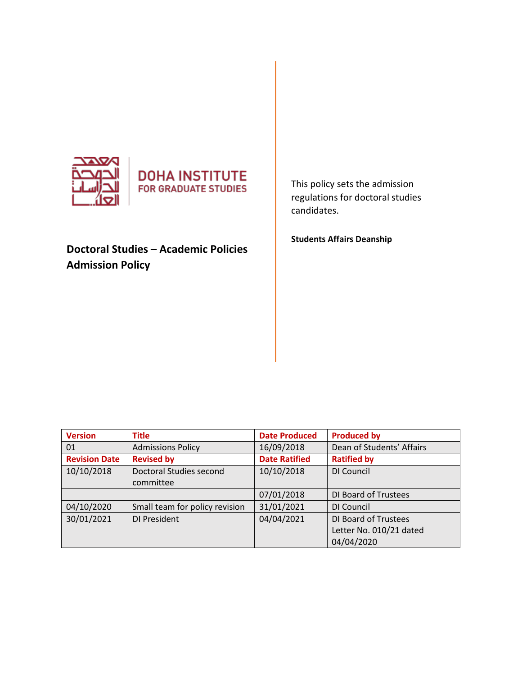



# **Doctoral Studies – Academic Policies Admission Policy**

This policy sets the admission regulations for doctoral studies candidates.

**Students Affairs Deanship** 

| <b>Version</b>       | <b>Title</b>                   | <b>Date Produced</b> | <b>Produced by</b>        |
|----------------------|--------------------------------|----------------------|---------------------------|
| 01                   | <b>Admissions Policy</b>       | 16/09/2018           | Dean of Students' Affairs |
| <b>Revision Date</b> | <b>Revised by</b>              | <b>Date Ratified</b> | <b>Ratified by</b>        |
| 10/10/2018           | Doctoral Studies second        | 10/10/2018           | DI Council                |
|                      | committee                      |                      |                           |
|                      |                                | 07/01/2018           | DI Board of Trustees      |
| 04/10/2020           | Small team for policy revision | 31/01/2021           | DI Council                |
| 30/01/2021           | DI President                   | 04/04/2021           | DI Board of Trustees      |
|                      |                                |                      | Letter No. 010/21 dated   |
|                      |                                |                      | 04/04/2020                |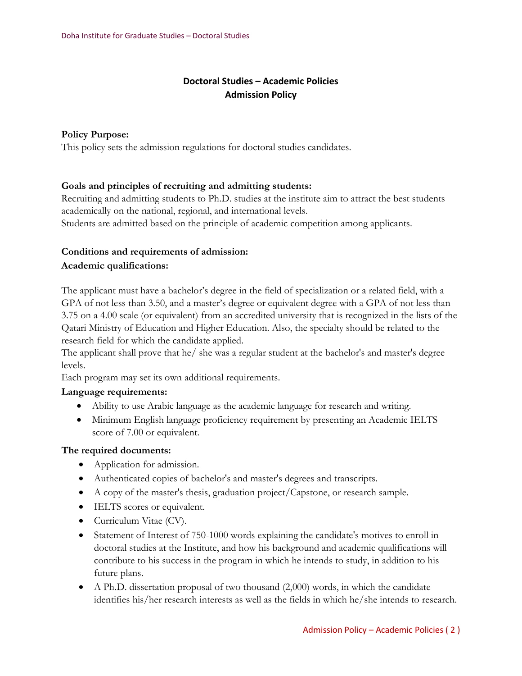### **Doctoral Studies – Academic Policies Admission Policy**

#### **Policy Purpose:**

This policy sets the admission regulations for doctoral studies candidates.

#### **Goals and principles of recruiting and admitting students:**

Recruiting and admitting students to Ph.D. studies at the institute aim to attract the best students academically on the national, regional, and international levels.

Students are admitted based on the principle of academic competition among applicants.

## **Conditions and requirements of admission:**

#### **Academic qualifications:**

The applicant must have a bachelor's degree in the field of specialization or a related field, with a GPA of not less than 3.50, and a master's degree or equivalent degree with a GPA of not less than 3.75 on a 4.00 scale (or equivalent) from an accredited university that is recognized in the lists of the Qatari Ministry of Education and Higher Education. Also, the specialty should be related to the research field for which the candidate applied.

The applicant shall prove that he/ she was a regular student at the bachelor's and master's degree levels.

Each program may set its own additional requirements.

#### **Language requirements:**

- Ability to use Arabic language as the academic language for research and writing.
- Minimum English language proficiency requirement by presenting an Academic IELTS score of 7.00 or equivalent.

#### **The required documents:**

- Application for admission.
- Authenticated copies of bachelor's and master's degrees and transcripts.
- A copy of the master's thesis, graduation project/Capstone, or research sample.
- IELTS scores or equivalent.
- Curriculum Vitae (CV).
- Statement of Interest of 750-1000 words explaining the candidate's motives to enroll in doctoral studies at the Institute, and how his background and academic qualifications will contribute to his success in the program in which he intends to study, in addition to his future plans.
- A Ph.D. dissertation proposal of two thousand (2,000) words, in which the candidate identifies his/her research interests as well as the fields in which he/she intends to research.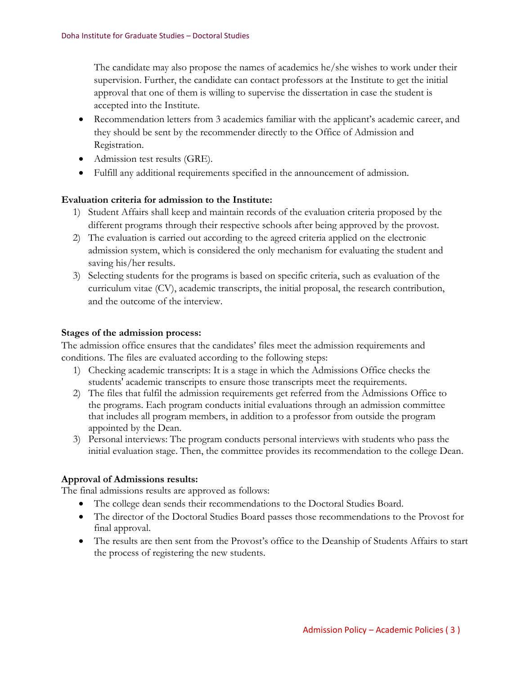The candidate may also propose the names of academics he/she wishes to work under their supervision. Further, the candidate can contact professors at the Institute to get the initial approval that one of them is willing to supervise the dissertation in case the student is accepted into the Institute.

- Recommendation letters from 3 academics familiar with the applicant's academic career, and they should be sent by the recommender directly to the Office of Admission and Registration.
- Admission test results (GRE).
- Fulfill any additional requirements specified in the announcement of admission.

#### **Evaluation criteria for admission to the Institute:**

- 1) Student Affairs shall keep and maintain records of the evaluation criteria proposed by the different programs through their respective schools after being approved by the provost.
- 2) The evaluation is carried out according to the agreed criteria applied on the electronic admission system, which is considered the only mechanism for evaluating the student and saving his/her results.
- 3) Selecting students for the programs is based on specific criteria, such as evaluation of the curriculum vitae (CV), academic transcripts, the initial proposal, the research contribution, and the outcome of the interview.

#### **Stages of the admission process:**

The admission office ensures that the candidates' files meet the admission requirements and conditions. The files are evaluated according to the following steps:

- 1) Checking academic transcripts: It is a stage in which the Admissions Office checks the students' academic transcripts to ensure those transcripts meet the requirements.
- 2) The files that fulfil the admission requirements get referred from the Admissions Office to the programs. Each program conducts initial evaluations through an admission committee that includes all program members, in addition to a professor from outside the program appointed by the Dean.
- 3) Personal interviews: The program conducts personal interviews with students who pass the initial evaluation stage. Then, the committee provides its recommendation to the college Dean.

#### **Approval of Admissions results:**

The final admissions results are approved as follows:

- The college dean sends their recommendations to the Doctoral Studies Board.
- The director of the Doctoral Studies Board passes those recommendations to the Provost for final approval.
- The results are then sent from the Provost's office to the Deanship of Students Affairs to start the process of registering the new students.